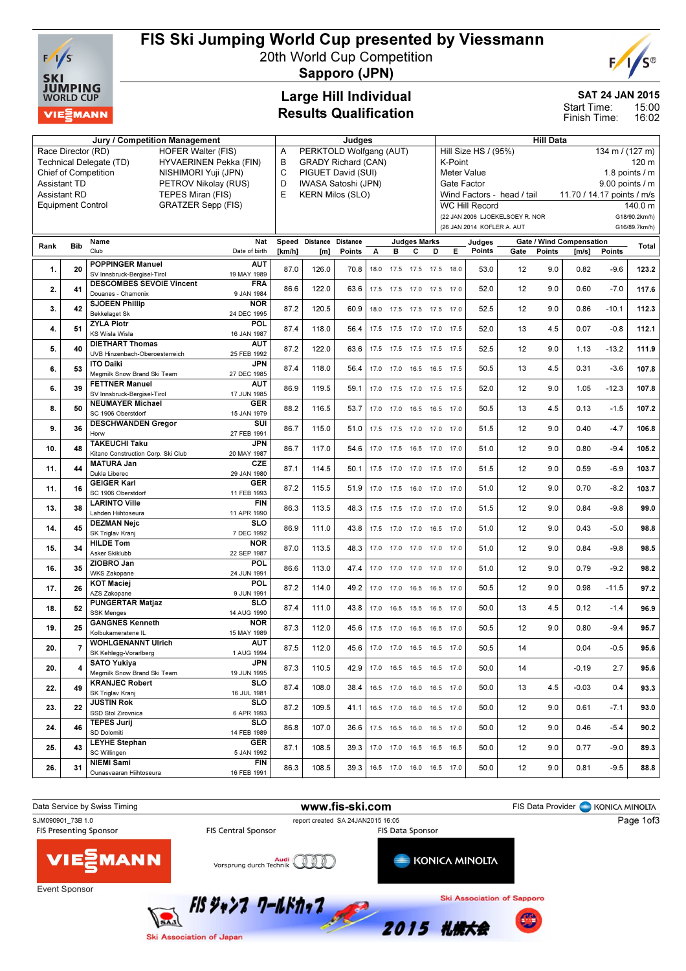

# FIS Ski Jumping World Cup presented by Viessmann

20th World Cup Competition



Sapporo (JPN)

## Large Hill Individual Results Qualification

## SAT 24 JAN 2015

15:00 16:02 Start Time: Finish Time:

| Jury / Competition Management                     |                          |                                                   |                           |                 | Judges                       |                            |      |      |                          |                              | <b>Hill Data</b>                        |                                 |        |                                   |         |                                |  |
|---------------------------------------------------|--------------------------|---------------------------------------------------|---------------------------|-----------------|------------------------------|----------------------------|------|------|--------------------------|------------------------------|-----------------------------------------|---------------------------------|--------|-----------------------------------|---------|--------------------------------|--|
| Race Director (RD)<br><b>HOFER Walter (FIS)</b>   |                          |                                                   |                           |                 | Α<br>PERKTOLD Wolfgang (AUT) |                            |      |      |                          |                              | Hill Size HS / (95%)<br>134 m / (127 m) |                                 |        |                                   |         |                                |  |
| HYVAERINEN Pekka (FIN)<br>Technical Delegate (TD) |                          |                                                   |                           | B               |                              | <b>GRADY Richard (CAN)</b> |      |      |                          |                              | K-Point<br>120 m                        |                                 |        |                                   |         |                                |  |
| Chief of Competition<br>NISHIMORI Yuji (JPN)      |                          |                                                   |                           | $\mathsf{C}$    |                              | PIGUET David (SUI)         |      |      |                          |                              | 1.8 points $/$ m<br>Meter Value         |                                 |        |                                   |         |                                |  |
| <b>Assistant TD</b><br>PETROV Nikolay (RUS)       |                          |                                                   |                           | D               |                              | IWASA Satoshi (JPN)        |      |      |                          |                              | Gate Factor<br>9.00 points / m          |                                 |        |                                   |         |                                |  |
|                                                   | <b>Assistant RD</b>      | TEPES Miran (FIS)                                 |                           | E               |                              | <b>KERN Milos (SLO)</b>    |      |      |                          |                              |                                         | Wind Factors - head / tail      |        | 11.70 / 14.17 points / m/s        |         |                                |  |
|                                                   | <b>Equipment Control</b> | <b>GRATZER Sepp (FIS)</b>                         |                           |                 |                              |                            |      |      |                          |                              | <b>WC Hill Record</b>                   |                                 |        |                                   |         | 140.0 m                        |  |
|                                                   |                          |                                                   |                           |                 |                              |                            |      |      |                          |                              | (26 JAN 2014 KOFLER A. AUT              | (22 JAN 2006 LJOEKELSOEY R. NOR |        |                                   |         | G18/90.2km/h)<br>G16/89.7km/h) |  |
|                                                   |                          |                                                   |                           |                 |                              |                            |      |      |                          |                              |                                         |                                 |        |                                   |         |                                |  |
| Rank                                              | <b>Bib</b>               | Name<br>Club                                      | Nat<br>Date of birth      | Speed<br>[km/h] | Distance<br>[m]              | <b>Distance</b><br>Points  | А    | в    | <b>Judges Marks</b><br>с | D<br>Е.                      | Judges<br>Points                        | Gate                            | Points | Gate / Wind Compensation<br>[m/s] | Points  | Total                          |  |
|                                                   |                          | <b>POPPINGER Manuel</b>                           | <b>AUT</b>                |                 |                              |                            |      |      |                          |                              |                                         |                                 |        |                                   |         |                                |  |
| 1.                                                | 20                       | SV Innsbruck-Bergisel-Tirol                       | 19 MAY 1989               | 87.0            | 126.0                        | 70.8                       | 18.0 |      |                          | 17.5 17.5 17.5 18.0          | 53.0                                    | 12                              | 9.0    | 0.82                              | $-9.6$  | 123.2                          |  |
| 2.                                                | 41                       | <b>DESCOMBES SEVOIE Vincent</b>                   | <b>FRA</b>                | 86.6            | 122.0                        | 63.6                       |      |      |                          | 17.5 17.5 17.0 17.5 17.0     | 52.0                                    | 12                              | 9.0    | 0.60                              | $-7.0$  | 117.6                          |  |
|                                                   |                          | Douanes - Chamonix                                | 9 JAN 1984                |                 |                              |                            |      |      |                          |                              |                                         |                                 |        |                                   |         |                                |  |
| 3.                                                | 42                       | <b>SJOEEN Phillip</b><br><b>Bekkelaget Sk</b>     | <b>NOR</b><br>24 DEC 1995 | 87.2            | 120.5                        | 60.9                       | 18.0 |      |                          | 17.5 17.5 17.5 17.0          | 52.5                                    | 12                              | 9.0    | 0.86                              | $-10.1$ | 112.3                          |  |
|                                                   |                          | <b>ZYLA Piotr</b>                                 | POL                       |                 |                              |                            |      |      |                          |                              |                                         |                                 |        |                                   |         |                                |  |
| 4.                                                | 51                       | <b>KS Wisla Wisla</b>                             | 16 JAN 1987               | 87.4            | 118.0                        | 56.4                       | 17.5 |      |                          | 17.5 17.0 17.0 17.5          | 52.0                                    | 13                              | 4.5    | 0.07                              | $-0.8$  | 112.1                          |  |
| 5.                                                | 40                       | <b>DIETHART Thomas</b>                            | <b>AUT</b>                | 87.2            | 122.0                        | 63.6                       | 17.5 |      |                          | 17.5 17.5 17.5 17.5          | 52.5                                    | 12                              | 9.0    | 1.13                              | $-13.2$ | 111.9                          |  |
|                                                   |                          | UVB Hinzenbach-Oberoesterreich                    | 25 FEB 1992               |                 |                              |                            |      |      |                          |                              |                                         |                                 |        |                                   |         |                                |  |
| 6.                                                | 53                       | <b>ITO Daiki</b><br>Meamilk Snow Brand Ski Team   | <b>JPN</b><br>27 DEC 1985 | 87.4            | 118.0                        | 56.4                       | 17.0 | 17.0 |                          | 16.5 16.5 17.5               | 50.5                                    | 13                              | 4.5    | 0.31                              | $-3.6$  | 107.8                          |  |
|                                                   |                          | <b>FETTNER Manuel</b>                             | <b>AUT</b>                |                 |                              |                            |      |      |                          |                              |                                         |                                 |        |                                   |         |                                |  |
| 6.                                                | 39                       | SV Innsbruck-Bergisel-Tirol                       | 17 JUN 1985               | 86.9            | 119.5                        | 59.1                       | 17.0 |      |                          | 17.5 17.0 17.5 17.5          | 52.0                                    | 12                              | 9.0    | 1.05                              | $-12.3$ | 107.8                          |  |
| 8.                                                | 50                       | <b>NEUMAYER Michael</b>                           | <b>GER</b>                | 88.2            | 116.5                        | 53.7                       |      |      |                          | 17.0 17.0 16.5 16.5 17.0     | 50.5                                    | 13                              | 4.5    | 0.13                              | $-1.5$  | 107.2                          |  |
|                                                   |                          | SC 1906 Oberstdorf<br><b>DESCHWANDEN Gregor</b>   | 15 JAN 1979<br>SUI        |                 |                              |                            |      |      |                          |                              |                                         |                                 |        |                                   |         |                                |  |
| 9.                                                | 36                       | Horw                                              | 27 FEB 1991               | 86.7            | 115.0                        | 51.0                       |      |      |                          | 17.5 17.5 17.0 17.0 17.0     | 51.5                                    | 12                              | 9.0    | 0.40                              | $-4.7$  | 106.8                          |  |
| 10.                                               | 48                       | <b>TAKEUCHI Taku</b>                              | <b>JPN</b>                | 86.7            | 117.0                        | 54.6                       | 17.0 |      |                          | 17.5 16.5 17.0 17.0          | 51.0                                    | 12                              | 9.0    | 0.80                              | $-9.4$  | 105.2                          |  |
|                                                   |                          | Kitano Construction Corp. Ski Club                | 20 MAY 1987               |                 |                              |                            |      |      |                          |                              |                                         |                                 |        |                                   |         |                                |  |
| 11.                                               | 44                       | <b>MATURA Jan</b><br>Dukla Liberec                | <b>CZE</b><br>29 JAN 1980 | 87.1            | 114.5                        | 50.1                       |      |      |                          | 17.5 17.0 17.0 17.5 17.0     | 51.5                                    | 12                              | 9.0    | 0.59                              | $-6.9$  | 103.7                          |  |
|                                                   |                          | <b>GEIGER Karl</b>                                | <b>GER</b>                |                 |                              |                            |      |      |                          |                              |                                         |                                 |        |                                   |         |                                |  |
| 11.                                               | 16                       | SC 1906 Oberstdorf                                | 11 FEB 1993               | 87.2            | 115.5                        | 51.9                       | 17.0 | 17.5 |                          | 16.0 17.0 17.0               | 51.0                                    | 12                              | 9.0    | 0.70                              | $-8.2$  | 103.7                          |  |
| 13.                                               | 38                       | <b>LARINTO Ville</b>                              | <b>FIN</b>                | 86.3            | 113.5                        | 48.3                       | 17.5 |      |                          | 17.5 17.0 17.0 17.0          | 51.5                                    | 12                              | 9.0    | 0.84                              | $-9.8$  | 99.0                           |  |
|                                                   |                          | Lahden Hiihtoseura<br><b>DEZMAN Nejc</b>          | 11 APR 1990<br>SLO        |                 |                              |                            |      |      |                          |                              |                                         |                                 |        |                                   |         |                                |  |
| 14.                                               | 45                       | SK Triglav Kranj                                  | 7 DEC 1992                | 86.9            | 111.0                        | 43.8                       | 17.5 | 17.0 |                          | 17.0 16.5 17.0               | 51.0                                    | 12                              | 9.0    | 0.43                              | $-5.0$  | 98.8                           |  |
| 15.                                               | 34                       | <b>HILDE Tom</b>                                  | <b>NOR</b>                | 87.0            | 113.5                        | 48.3                       | 17.0 |      |                          | 17.0 17.0 17.0 17.0          | 51.0                                    | 12                              | 9.0    | 0.84                              | $-9.8$  | 98.5                           |  |
|                                                   |                          | Asker Skiklubb                                    | 22 SEP 1987               |                 |                              |                            |      |      |                          |                              |                                         |                                 |        |                                   |         |                                |  |
| 16.                                               | 35                       | ZIOBRO Jan<br><b>WKS Zakopane</b>                 | POL<br>24 JUN 1991        | 86.6            | 113.0                        | 47.4                       |      |      |                          | 17.0 17.0 17.0 17.0 17.0     | 51.0                                    | 12                              | 9.0    | 0.79                              | $-9.2$  | 98.2                           |  |
|                                                   |                          | <b>KOT Maciej</b>                                 | POL                       |                 |                              |                            |      |      |                          |                              |                                         |                                 |        |                                   |         |                                |  |
| 17.                                               | 26                       | AZS Zakopane                                      | 9 JUN 1991                | 87.2            | 114.0                        | 49.2                       |      |      |                          | 17.0 17.0 16.5 16.5 17.0     | 50.5                                    | 12                              | 9.0    | 0.98                              | $-11.5$ | 97.2                           |  |
| 18.                                               | 52                       | <b>PUNGERTAR Matjaz</b>                           | <b>SLO</b>                | 87.4            | 111.0                        | 43.8                       | 17.0 |      |                          | 16.5 15.5 16.5 17.0          | 50.0                                    | 13                              | 4.5    | 0.12                              | $-1.4$  | 96.9                           |  |
|                                                   |                          | <b>SSK Menges</b><br><b>GANGNES Kenneth</b>       | 14 AUG 1990<br><b>NOR</b> |                 |                              |                            |      |      |                          |                              |                                         |                                 |        |                                   |         |                                |  |
| 19.                                               | 25                       | Kolbukameratene IL                                | 15 MAY 1989               | 87.3            | 112.0                        | 45.6                       |      |      |                          | 17.5 17.0 16.5 16.5 17.0     | 50.5                                    | 12                              | 9.0    | 0.80                              | $-9.4$  | 95.7                           |  |
|                                                   |                          | <b>WOHLGENANNT Ulrich</b>                         | <b>AUT</b>                | 87.5            | 112.0                        | 45.6                       |      |      |                          |                              | 50.5                                    | 14                              |        |                                   | $-0.5$  |                                |  |
| 20.                                               |                          | SK Kehlegg-Vorarlberg                             | 1 AUG 1994                |                 |                              |                            | 17.0 |      |                          | 17.0 16.5 16.5 17.0          |                                         |                                 |        | 0.04                              |         | 95.6                           |  |
| 20.                                               | 4                        | <b>SATO Yukiva</b><br>Megmilk Snow Brand Ski Team | JPN                       | 87.3            | 110.5                        | 42.9                       |      |      |                          | 17.0  16.5  16.5  16.5  17.0 | 50.0                                    | 14                              |        | $-0.19$                           | 2.7     | 95.6                           |  |
|                                                   |                          | <b>KRANJEC Robert</b>                             | 19 JUN 1995<br><b>SLO</b> |                 |                              |                            |      |      |                          |                              |                                         |                                 |        |                                   |         |                                |  |
| 22.                                               | 49                       | SK Triglav Kranj                                  | 16 JUL 1981               | 87.4            | 108.0                        | 38.4                       |      |      |                          | 16.5 17.0 16.0 16.5 17.0     | 50.0                                    | 13                              | 4.5    | $-0.03$                           | 0.4     | 93.3                           |  |
| 23.                                               | 22                       | <b>JUSTIN Rok</b>                                 | <b>SLO</b>                | 87.2            | 109.5                        | 41.1                       |      |      |                          | 16.5 17.0 16.0 16.5 17.0     | 50.0                                    | 12                              | 9.0    | 0.61                              | $-7.1$  | 93.0                           |  |
|                                                   |                          | SSD Stol Zirovnica                                | 6 APR 1993                |                 |                              |                            |      |      |                          |                              |                                         |                                 |        |                                   |         |                                |  |
| 24.                                               | 46                       | <b>TEPES Jurij</b><br>SD Dolomiti                 | <b>SLO</b><br>14 FEB 1989 | 86.8            | 107.0                        | 36.6                       |      |      |                          | 17.5  16.5  16.0  16.5  17.0 | 50.0                                    | 12                              | 9.0    | 0.46                              | $-5.4$  | 90.2                           |  |
|                                                   |                          | <b>LEYHE Stephan</b>                              | <b>GER</b>                |                 |                              |                            |      |      |                          |                              |                                         |                                 |        |                                   |         |                                |  |
| 25.                                               | 43                       | SC Willingen                                      | 5 JAN 1992                | 87.1            | 108.5                        | 39.3                       |      |      |                          | 17.0 17.0 16.5 16.5 16.5     | 50.0                                    | 12                              | 9.0    | 0.77                              | $-9.0$  | 89.3                           |  |
| 26.                                               | 31                       | <b>NIEMI Sami</b>                                 | <b>FIN</b>                | 86.3            | 108.5                        | 39.3                       |      |      |                          | 16.5 17.0 16.0 16.5 17.0     | 50.0                                    | 12                              | 9.0    | 0.81                              | $-9.5$  | 88.8                           |  |
|                                                   |                          | Ounasvaaran Hiihtoseura                           | 16 FEB 1991               |                 |                              |                            |      |      |                          |                              |                                         |                                 |        |                                   |         |                                |  |

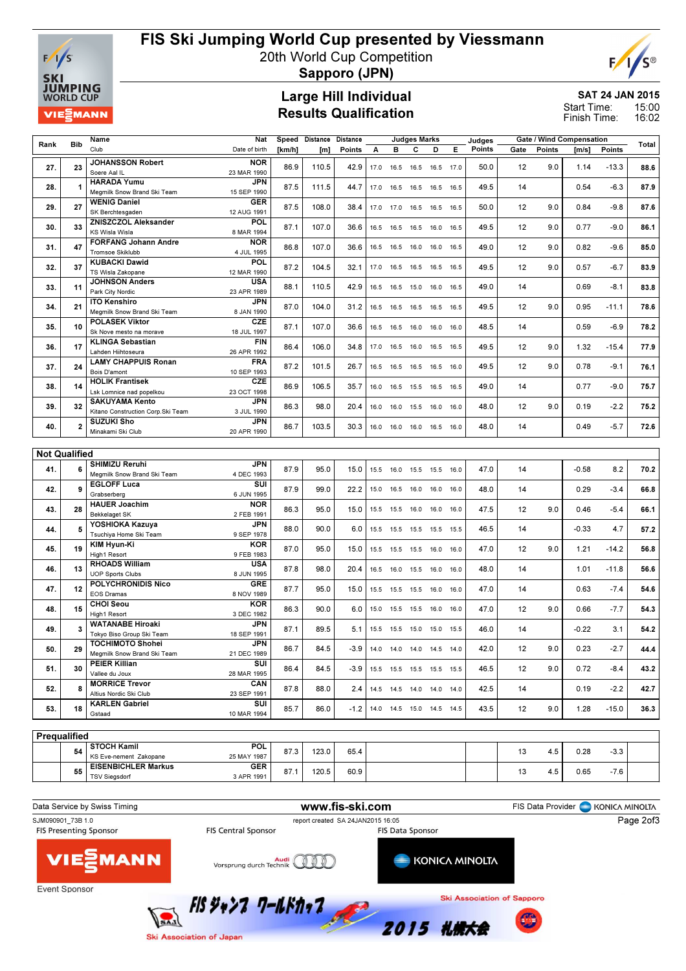

# FIS Ski Jumping World Cup presented by Viessmann

20th World Cup Competition



Sapporo (JPN)

### Large Hill Individual Results Qualification

#### SAT 24 JAN 2015 15:00 16:02 Start Time: Finish Time:

Rank Bib Name Club Nat Date of birth Speed Distance Distance [km/h] [m] Points Judges Marks A B C D E Judges Points Gate / Wind Compensation Gate / Wind Compensation<br>Gate Points [m/s] Points Total 27. 23 JOHANSSON Robert Soere Aal IL **NOR** 23 MAR 1990 86.9 110.5 42.9 17.0 16.5 16.5 16.5 17.0 50.0 12 9.0 1.14 -13.3 88.6 28. 1 HARADA Yumu Megmilk Snow Brand Ski Team JPN 15 SEP 1990 87.5 | 111.5 | 44.7 | 17.0 16.5 16.5 16.5 | 6.5 | 49.5 | 14 | 0.54 -6.3 | 87.9 29.  $27 \times 27$  WENIG Daniel SK Berchtesgaden GER 12 AUG 1991 87.5 108.0 38.4 17.0 17.0 16.5 16.5 16.5 50.0 12 9.0 0.84 -9.8 87.6 30. 33 ZNISZCZOL Aleksander KS Wisla Wisla POL 8 MAR 1994 87.1 107.0 36.6 16.5 16.5 16.5 16.0 16.5 49.5 12 9.0 0.77 -9.0 86.1 31. 47 FORFANG Johann Andre Tromsoe Skiklubb **NOR** 4 JUL 1995 86.8 107.0 36.6 16.5 16.5 16.0 16.0 16.5 49.0 12 9.0 0.82 -9.6 85.0 32 37 KUBACKI Dawid TS Wisla Zakopane POL 12 MAR 1990 87.2 | 104.5 | 32.1 | 17.0 16.5 16.5 16.5 16.5 | 49.5 | 12 9.0 | 0.57 -6.7 | 83.9 33. 11 JOHNSON Anders Park City Nordic USA 23 APR 1989 88.1 110.5 42.9 16.5 16.5 15.0 16.0 16.5 49.0 14 0.69 -8.1 83.8 34. 21 ITO Kenshiro Megmilk Snow Brand Ski Team JPN 8 JAN 1990 87.0 104.0 31.2 16.5 16.5 16.5 16.5 16.5 49.5 12 9.0 0.95 -11.1 78.6 35. 10 POLASEK Viktor Sk Nove mesto na morave **CZE** 18 JUL 1997 87.1 | 107.0 | 36.6 | 16.5 16.5 16.0 16.0 | 48.5 | 14 | 0.59 -6.9 | 78.2 36. 17 KLINGA Sebastian Lahden Hiihtoseura FIN 26 APR 1992 86.4 106.0 34.8 17.0 16.5 16.0 16.5 16.5 49.5 12 9.0 1.32 -15.4 77.9 37. 24 LAMY CHAPPUIS Ronan Bois D'amont **FRA** 10 SEP 1993 87.2 | 101.5 | 26.7 | 16.5 16.5 16.5 16.5 16.0 | 49.5 | 12 9.0 | 0.78 -9.1 | **76.1** 38. 14 HOLIK Frantisek Lsk Lomnice nad popelkou **CZE** 23 OCT 1998 86.9 | 106.5 | 35.7 | 16.0 16.5 15.5 16.5 | 16.5 | 49.0 | 14 | 0.77 -9.0 | 75.7 39. 32 SAKUYAMA Kento Kitano Construction Corp.Ski Team JPN 3 JUL 1990 86.3 98.0 20.4 16.0 16.0 15.5 16.0 16.0 48.0 12 9.0 0.19 -2.2 75.2 40. 2 SUZUKI Sho Minakami Ski Club JPN 20 APR 1990 86.7 103.5 30.3 16.0 16.0 16.0 16.5 16.0 48.0 14 0.49 -5.7 72.6 Not Qualified 41. 6 SHIMIZU Reruhi Megmilk Snow Brand Ski Team JPN 4 DEC 1993 87.9 95.0 15.0 15.5 16.0 15.5 15.5 16.0 47.0 14 -0.58 8.2 70.2 42. 9 EGLOFF Luca Grabserberg  $\overline{\text{S}}$ 6 JUN 1995 87.9 99.0 22.2 15.0 16.5 16.0 16.0 16.0 48.0 14 0.29 -3.4 66.8 43. 28 HAUER Joachim Bekkelaget Sk **NOR** 2 FEB 1991 86.3 95.0 15.0 15.5 15.5 16.0 16.0 16.0 47.5 12 9.0 0.46 -5.4 66.1 44. 5 YOSHIOKA Kazuya Tsuchiya Home Ski Team JPN 9 SEP 1978 88.0 90.0 6.0 15.5 15.5 15.5 15.5 15.5 46.5 14 -0.33 4.7 57.2 45. 19 KIM Hyun-Ki High1 Resort KOR 9 FEB 1983 87.0 | 95.0 | 15.0 | 15.5 15.5 15.5 16.0 16.0 | 47.0 | 12 9.0 | 1.21 -14.2 | 56.8 46. 13 RHOADS William UOP Sports Clubs USA 8 JUN 1995 87.8 98.0 20.4 16.5 16.0 15.5 16.0 16.0 48.0 14 1.01 -11.8 56.6 47. 12 POLYCHRONIDIS Nico EOS Dramas GRE 8 NOV 1989 87.7 | 95.0 | 15.0 | 15.5 15.5 15.5 16.0 16.0 | 47.0 | 14 | 0.63 -7.4 | 54.6 48. 15 CHOI Seou High1 Resort **KOP** 3 DEC 1982 86.3 90.0 6.0 15.0 15.5 15.5 16.0 16.0 47.0 12 9.0 0.66 -7.7 54.3 49. 3 WATANABE Hiroaki Tokyo Biso Group Ski Team **JPN** 18 SEP 1991 87.1 89.5 5.1 15.5 15.5 15.0 15.0 15.5 46.0 14 -0.22 3.1 54.2 50. 29 TOCHIMOTO Shohei Megmilk Snow Brand Ski Team JPN 21 DEC 1989 86.7 84.5 -3.9 14.0 14.0 14.0 14.5 14.0 42.0 12 9.0 0.23 -2.7 44.4 51. 30 PEIER Killian Vallee du Joux **SUI** 28 MAR 1995 86.4 84.5 -3.9 15.5 15.5 15.5 15.5 15.5 46.5 12 9.0 0.72 -8.4 43.2 52. 8 MORRICE Trevor Altius Nordic Ski Club **CAN** 23 SEP 1991 87.8 88.0 2.4 14.5 14.5 14.0 14.0 42.5 14 0.19 -2.2 42.7 53. 18 KARLEN Gabriel Gstaad **SUI** 10 MAR 1994 85.7 86.0 -1.2 14.0 14.5 15.0 14.5 14.5 43.5 12 9.0 1.28 -15.0 36.3 **Prequalified** 

| Prequalified |                            |             |      |       |      |  |     |     |      |        |  |
|--------------|----------------------------|-------------|------|-------|------|--|-----|-----|------|--------|--|
| 54           | <b>STOCH Kamil</b>         | POL.        | 072  | 123.0 | 65.4 |  | ں ا | 4.5 | 0.28 | $-3.3$ |  |
|              | KS Eve-nement Zakopane     | 25 MAY 1987 | 01.9 |       |      |  |     |     |      |        |  |
| 55           | <b>EISENBICHLER Markus</b> | <b>GER</b>  | 67   | 120.5 | 60.9 |  |     |     | 0.65 | $-7.6$ |  |
|              | <b>TSV Siegsdorf</b>       | 3 APR 1991  | ٥١.  |       |      |  | ں ا | 4.5 |      |        |  |
|              |                            |             |      |       |      |  |     |     |      |        |  |